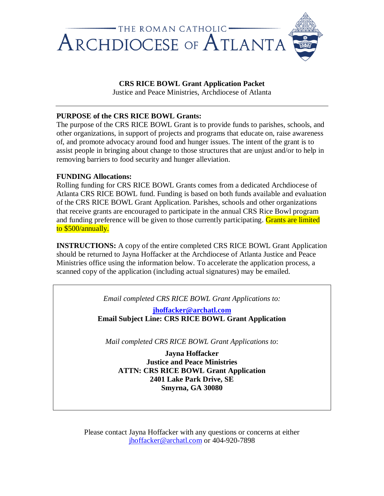

# **CRS RICE BOWL Grant Application Packet**

Justice and Peace Ministries, Archdiocese of Atlanta

## **PURPOSE of the CRS RICE BOWL Grants:**

The purpose of the CRS RICE BOWL Grant is to provide funds to parishes, schools, and other organizations, in support of projects and programs that educate on, raise awareness of, and promote advocacy around food and hunger issues. The intent of the grant is to assist people in bringing about change to those structures that are unjust and/or to help in removing barriers to food security and hunger alleviation.

## **FUNDING Allocations:**

Rolling funding for CRS RICE BOWL Grants comes from a dedicated Archdiocese of Atlanta CRS RICE BOWL fund. Funding is based on both funds available and evaluation of the CRS RICE BOWL Grant Application. Parishes, schools and other organizations that receive grants are encouraged to participate in the annual CRS Rice Bowl program and funding preference will be given to those currently participating. Grants are limited to \$500/annually.

**INSTRUCTIONS:** A copy of the entire completed CRS RICE BOWL Grant Application should be returned to Jayna Hoffacker at the Archdiocese of Atlanta Justice and Peace Ministries office using the information below. To accelerate the application process, a scanned copy of the application (including actual signatures) may be emailed.

*Email completed CRS RICE BOWL Grant Applications to:*

**[jhoffacker@archatl.com](mailto:jhoffacker@archatl.com) Email Subject Line: CRS RICE BOWL Grant Application**

*Mail completed CRS RICE BOWL Grant Applications to*:

**Jayna Hoffacker Justice and Peace Ministries ATTN: CRS RICE BOWL Grant Application 2401 Lake Park Drive, SE Smyrna, GA 30080**

Please contact Jayna Hoffacker with any questions or concerns at either [jhoffacker@archatl.com](mailto:jhoffacker@archatl.com) or 404-920-7898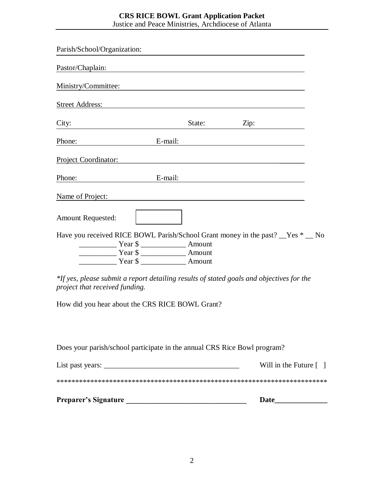## **CRS RICE BOWL Grant Application Packet** Justice and Peace Ministries, Archdiocese of Atlanta

| Pastor/Chaplain:<br>Ministry/Committee:<br>Street Address: No. 1996. The Street Address: No. 1997. The Street Address: No. 1997. The Street Address: No. 1997. The Street Address: No. 1997. The Street Address: No. 1997. The Street Address: No. 1997. The Street Addre<br>City:<br>State:<br>$E$ -mail:<br>Phone:<br>Project Coordinator: | Zip:                                                 |
|----------------------------------------------------------------------------------------------------------------------------------------------------------------------------------------------------------------------------------------------------------------------------------------------------------------------------------------------|------------------------------------------------------|
|                                                                                                                                                                                                                                                                                                                                              |                                                      |
|                                                                                                                                                                                                                                                                                                                                              |                                                      |
|                                                                                                                                                                                                                                                                                                                                              |                                                      |
|                                                                                                                                                                                                                                                                                                                                              |                                                      |
|                                                                                                                                                                                                                                                                                                                                              |                                                      |
|                                                                                                                                                                                                                                                                                                                                              |                                                      |
| Phone:<br>E-mail:                                                                                                                                                                                                                                                                                                                            |                                                      |
| Name of Project:                                                                                                                                                                                                                                                                                                                             |                                                      |
| <b>Amount Requested:</b>                                                                                                                                                                                                                                                                                                                     |                                                      |
| Have you received RICE BOWL Parish/School Grant money in the past? Yes * No<br>Tear \$                                                                                                                                                                                                                                                       |                                                      |
| Tear \$<br>Year \$                                                                                                                                                                                                                                                                                                                           |                                                      |
| *If yes, please submit a report detailing results of stated goals and objectives for the<br>project that received funding.<br>How did you hear about the CRS RICE BOWL Grant?                                                                                                                                                                |                                                      |
| Does your parish/school participate in the annual CRS Rice Bowl program?                                                                                                                                                                                                                                                                     |                                                      |
|                                                                                                                                                                                                                                                                                                                                              | Will in the Future $\begin{bmatrix} 1 \end{bmatrix}$ |
|                                                                                                                                                                                                                                                                                                                                              |                                                      |
|                                                                                                                                                                                                                                                                                                                                              | <b>Date</b> and <b>Date</b>                          |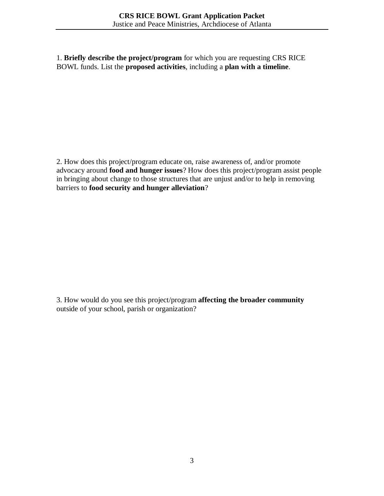1. **Briefly describe the project/program** for which you are requesting CRS RICE BOWL funds. List the **proposed activities**, including a **plan with a timeline**.

2. How does this project/program educate on, raise awareness of, and/or promote advocacy around **food and hunger issues**? How does this project/program assist people in bringing about change to those structures that are unjust and/or to help in removing barriers to **food security and hunger alleviation**?

3. How would do you see this project/program **affecting the broader community** outside of your school, parish or organization?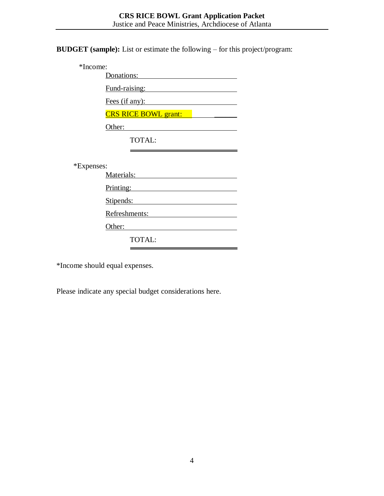**BUDGET (sample):** List or estimate the following – for this project/program:

| *Income:   |                                                      |
|------------|------------------------------------------------------|
|            | Donations:                                           |
|            | Fund-raising:                                        |
|            | Fees (if any):                                       |
|            | <b>CRS RICE BOWL grant:</b>                          |
|            | Other:                                               |
|            | TOTAL:                                               |
|            |                                                      |
| *Expenses: |                                                      |
|            | Materials:                                           |
|            | Printing:<br><u> 1989 - Johann Barbara, martxa a</u> |
|            | Stipends:                                            |
|            | Refreshments:                                        |
|            | Other:                                               |
|            | <b>TOTAL:</b>                                        |

\*Income should equal expenses.

Please indicate any special budget considerations here.